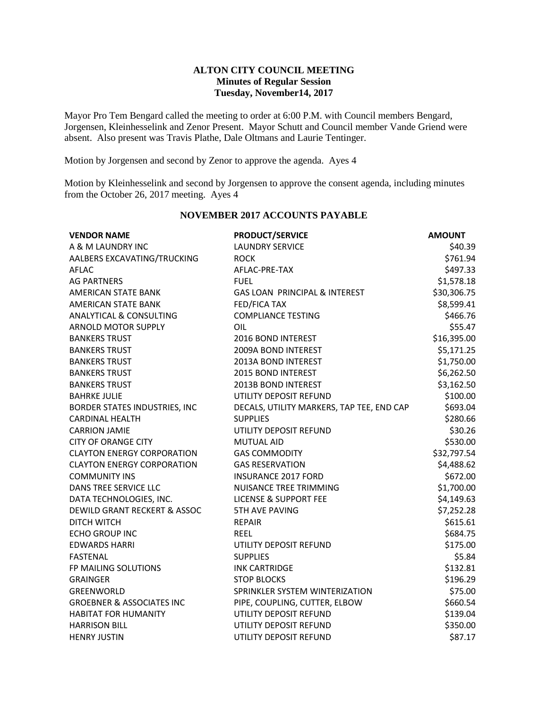### **ALTON CITY COUNCIL MEETING Minutes of Regular Session Tuesday, November14, 2017**

Mayor Pro Tem Bengard called the meeting to order at 6:00 P.M. with Council members Bengard, Jorgensen, Kleinhesselink and Zenor Present. Mayor Schutt and Council member Vande Griend were absent. Also present was Travis Plathe, Dale Oltmans and Laurie Tentinger.

Motion by Jorgensen and second by Zenor to approve the agenda. Ayes 4

Motion by Kleinhesselink and second by Jorgensen to approve the consent agenda, including minutes from the October 26, 2017 meeting. Ayes 4

| <b>VENDOR NAME</b>                                          | <b>PRODUCT/SERVICE</b>                    | <b>AMOUNT</b> |
|-------------------------------------------------------------|-------------------------------------------|---------------|
| A & M LAUNDRY INC                                           | <b>LAUNDRY SERVICE</b>                    | \$40.39       |
| AALBERS EXCAVATING/TRUCKING                                 | <b>ROCK</b>                               | \$761.94      |
| <b>AFLAC</b>                                                | AFLAC-PRE-TAX                             | \$497.33      |
| <b>AG PARTNERS</b>                                          | <b>FUEL</b>                               | \$1,578.18    |
| AMERICAN STATE BANK                                         | GAS LOAN PRINCIPAL & INTEREST             | \$30,306.75   |
| <b>AMERICAN STATE BANK</b>                                  | FED/FICA TAX                              | \$8,599.41    |
| <b>ANALYTICAL &amp; CONSULTING</b>                          | <b>COMPLIANCE TESTING</b>                 | \$466.76      |
| <b>ARNOLD MOTOR SUPPLY</b>                                  | OIL                                       | \$55.47       |
| <b>BANKERS TRUST</b>                                        | 2016 BOND INTEREST                        | \$16,395.00   |
| <b>BANKERS TRUST</b>                                        | 2009A BOND INTEREST                       | \$5,171.25    |
| <b>BANKERS TRUST</b><br>2013A BOND INTEREST                 |                                           | \$1,750.00    |
| <b>BANKERS TRUST</b>                                        | 2015 BOND INTEREST                        | \$6,262.50    |
| <b>BANKERS TRUST</b>                                        | 2013B BOND INTEREST                       | \$3,162.50    |
| <b>BAHRKE JULIE</b>                                         | UTILITY DEPOSIT REFUND                    | \$100.00      |
| BORDER STATES INDUSTRIES, INC                               | DECALS, UTILITY MARKERS, TAP TEE, END CAP | \$693.04      |
| <b>CARDINAL HEALTH</b>                                      | <b>SUPPLIES</b>                           | \$280.66      |
| <b>CARRION JAMIE</b><br>UTILITY DEPOSIT REFUND              |                                           | \$30.26       |
| <b>CITY OF ORANGE CITY</b>                                  | <b>MUTUAL AID</b>                         | \$530.00      |
| <b>CLAYTON ENERGY CORPORATION</b><br><b>GAS COMMODITY</b>   |                                           | \$32,797.54   |
| <b>CLAYTON ENERGY CORPORATION</b><br><b>GAS RESERVATION</b> |                                           | \$4,488.62    |
| <b>COMMUNITY INS</b>                                        | <b>INSURANCE 2017 FORD</b>                | \$672.00      |
| <b>DANS TREE SERVICE LLC</b>                                | NUISANCE TREE TRIMMING                    | \$1,700.00    |
| DATA TECHNOLOGIES, INC.                                     | <b>LICENSE &amp; SUPPORT FEE</b>          | \$4,149.63    |
| <b>DEWILD GRANT RECKERT &amp; ASSOC</b>                     | <b>5TH AVE PAVING</b>                     | \$7,252.28    |
| <b>DITCH WITCH</b>                                          | <b>REPAIR</b>                             | \$615.61      |
| <b>ECHO GROUP INC</b>                                       | <b>REEL</b>                               | \$684.75      |
| <b>EDWARDS HARRI</b>                                        | UTILITY DEPOSIT REFUND                    | \$175.00      |
| <b>FASTENAL</b>                                             | <b>SUPPLIES</b>                           | \$5.84        |
| FP MAILING SOLUTIONS                                        | <b>INK CARTRIDGE</b>                      | \$132.81      |
| <b>GRAINGER</b>                                             | <b>STOP BLOCKS</b>                        | \$196.29      |
| GREENWORLD                                                  | SPRINKLER SYSTEM WINTERIZATION            | \$75.00       |
| <b>GROEBNER &amp; ASSOCIATES INC</b>                        | PIPE, COUPLING, CUTTER, ELBOW             | \$660.54      |
| <b>HABITAT FOR HUMANITY</b>                                 | UTILITY DEPOSIT REFUND                    | \$139.04      |
| <b>HARRISON BILL</b>                                        | UTILITY DEPOSIT REFUND                    | \$350.00      |
| <b>HENRY JUSTIN</b>                                         | UTILITY DEPOSIT REFUND                    | \$87.17       |

# **NOVEMBER 2017 ACCOUNTS PAYABLE**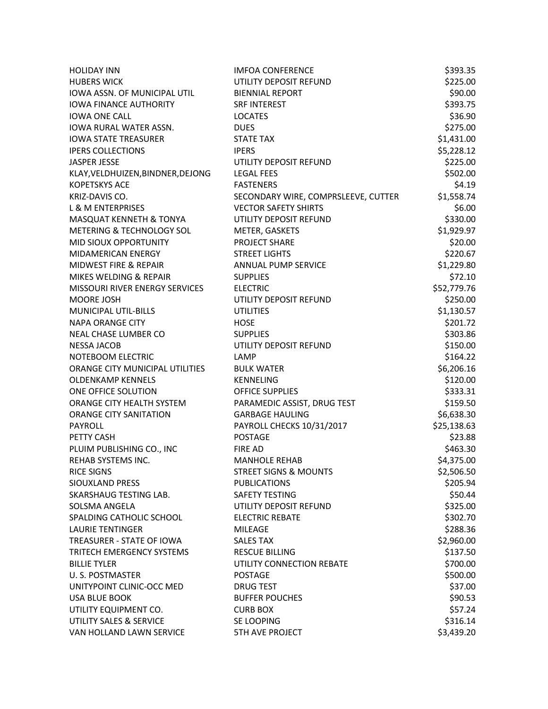| <b>HOLIDAY INN</b>                | <b>IMFOA CONFERENCE</b>             | \$393.35             |
|-----------------------------------|-------------------------------------|----------------------|
| <b>HUBERS WICK</b>                | UTILITY DEPOSIT REFUND              | \$225.00             |
| IOWA ASSN. OF MUNICIPAL UTIL      | <b>BIENNIAL REPORT</b>              | \$90.00              |
| <b>IOWA FINANCE AUTHORITY</b>     | <b>SRF INTEREST</b>                 | \$393.75             |
| <b>IOWA ONE CALL</b>              | <b>LOCATES</b>                      | \$36.90              |
| IOWA RURAL WATER ASSN.            | <b>DUES</b>                         | \$275.00             |
| <b>IOWA STATE TREASURER</b>       | <b>STATE TAX</b>                    |                      |
| <b>IPERS COLLECTIONS</b>          | <b>IPERS</b>                        |                      |
| <b>JASPER JESSE</b>               | UTILITY DEPOSIT REFUND              |                      |
| KLAY, VELDHUIZEN, BINDNER, DEJONG | <b>LEGAL FEES</b>                   | \$225.00<br>\$502.00 |
| <b>KOPETSKYS ACE</b>              | <b>FASTENERS</b>                    | \$4.19               |
| KRIZ-DAVIS CO.                    | SECONDARY WIRE, COMPRSLEEVE, CUTTER | \$1,558.74           |
| <b>L &amp; M ENTERPRISES</b>      | <b>VECTOR SAFETY SHIRTS</b>         | \$6.00               |
| MASQUAT KENNETH & TONYA           | UTILITY DEPOSIT REFUND              | \$330.00             |
| METERING & TECHNOLOGY SOL         | METER, GASKETS                      | \$1,929.97           |
| MID SIOUX OPPORTUNITY             | PROJECT SHARE                       | \$20.00              |
| MIDAMERICAN ENERGY                | <b>STREET LIGHTS</b>                | \$220.67             |
| <b>MIDWEST FIRE &amp; REPAIR</b>  | <b>ANNUAL PUMP SERVICE</b>          | \$1,229.80           |
| MIKES WELDING & REPAIR            | <b>SUPPLIES</b>                     | \$72.10              |
| MISSOURI RIVER ENERGY SERVICES    | <b>ELECTRIC</b>                     | \$52,779.76          |
| MOORE JOSH                        | UTILITY DEPOSIT REFUND              | \$250.00             |
| <b>MUNICIPAL UTIL-BILLS</b>       | <b>UTILITIES</b>                    | \$1,130.57           |
| <b>NAPA ORANGE CITY</b>           | <b>HOSE</b>                         | \$201.72             |
| NEAL CHASE LUMBER CO              | <b>SUPPLIES</b>                     | \$303.86             |
| <b>NESSA JACOB</b>                | UTILITY DEPOSIT REFUND              | \$150.00             |
| NOTEBOOM ELECTRIC                 | LAMP                                | \$164.22             |
| ORANGE CITY MUNICIPAL UTILITIES   | <b>BULK WATER</b>                   | \$6,206.16           |
| <b>OLDENKAMP KENNELS</b>          | <b>KENNELING</b>                    | \$120.00             |
| ONE OFFICE SOLUTION               | <b>OFFICE SUPPLIES</b>              | \$333.31             |
| ORANGE CITY HEALTH SYSTEM         | PARAMEDIC ASSIST, DRUG TEST         | \$159.50             |
| <b>ORANGE CITY SANITATION</b>     | <b>GARBAGE HAULING</b>              | \$6,638.30           |
| <b>PAYROLL</b>                    | PAYROLL CHECKS 10/31/2017           | \$25,138.63          |
| PETTY CASH                        | <b>POSTAGE</b>                      | \$23.88              |
| PLUIM PUBLISHING CO., INC         | <b>FIRE AD</b>                      | \$463.30             |
| REHAB SYSTEMS INC.                | <b>MANHOLE REHAB</b>                | \$4,375.00           |
| <b>RICE SIGNS</b>                 | <b>STREET SIGNS &amp; MOUNTS</b>    | \$2,506.50           |
| SIOUXLAND PRESS                   | <b>PUBLICATIONS</b>                 | \$205.94             |
| SKARSHAUG TESTING LAB.            | <b>SAFETY TESTING</b>               | \$50.44              |
| <b>SOLSMA ANGELA</b>              | UTILITY DEPOSIT REFUND              | \$325.00             |
| SPALDING CATHOLIC SCHOOL          | <b>ELECTRIC REBATE</b>              | \$302.70             |
| <b>LAURIE TENTINGER</b>           | <b>MILEAGE</b>                      | \$288.36             |
| <b>TREASURER - STATE OF IOWA</b>  | <b>SALES TAX</b>                    | \$2,960.00           |
| TRITECH EMERGENCY SYSTEMS         | <b>RESCUE BILLING</b>               | \$137.50             |
| <b>BILLIE TYLER</b>               | UTILITY CONNECTION REBATE           | \$700.00             |
| U. S. POSTMASTER                  | <b>POSTAGE</b>                      | \$500.00             |
| UNITYPOINT CLINIC-OCC MED         | <b>DRUG TEST</b>                    | \$37.00              |
| USA BLUE BOOK                     | <b>BUFFER POUCHES</b>               | \$90.53              |
| UTILITY EQUIPMENT CO.             | <b>CURB BOX</b>                     | \$57.24              |
| UTILITY SALES & SERVICE           | SE LOOPING                          | \$316.14             |
| VAN HOLLAND LAWN SERVICE          | <b>5TH AVE PROJECT</b>              | \$3,439.20           |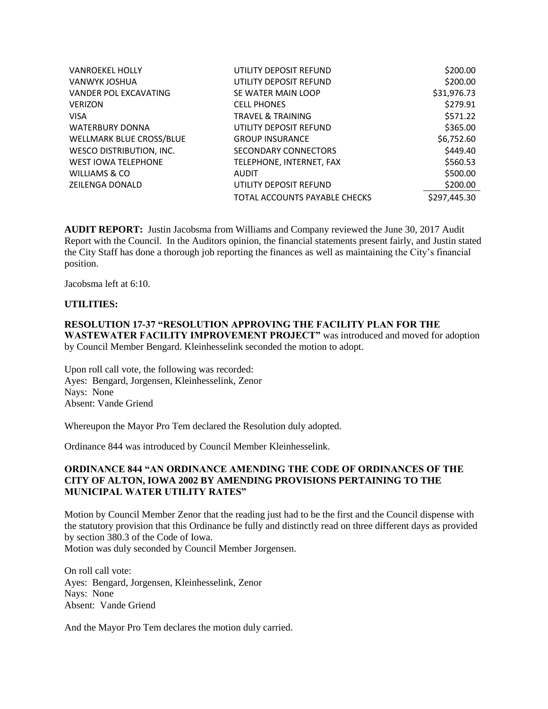| <b>VANROEKEL HOLLY</b>          | UTILITY DEPOSIT REFUND        | \$200.00     |
|---------------------------------|-------------------------------|--------------|
| VANWYK JOSHUA                   | UTILITY DEPOSIT REFUND        | \$200.00     |
| <b>VANDER POL EXCAVATING</b>    | SE WATER MAIN LOOP            | \$31,976.73  |
| <b>VERIZON</b>                  | <b>CELL PHONES</b>            | \$279.91     |
| <b>VISA</b>                     | <b>TRAVEL &amp; TRAINING</b>  | \$571.22     |
| <b>WATERBURY DONNA</b>          | UTILITY DEPOSIT REFUND        | \$365.00     |
| <b>WELLMARK BLUE CROSS/BLUE</b> | <b>GROUP INSURANCE</b>        | \$6,752.60   |
| WESCO DISTRIBUTION, INC.        | SECONDARY CONNECTORS          | \$449.40     |
| <b>WEST IOWA TELEPHONE</b>      | TELEPHONE, INTERNET, FAX      | \$560.53     |
| WILLIAMS & CO                   | <b>AUDIT</b>                  | \$500.00     |
| <b>ZEILENGA DONALD</b>          | UTILITY DEPOSIT REFUND        | \$200.00     |
|                                 | TOTAL ACCOUNTS PAYABLE CHECKS | \$297,445.30 |

**AUDIT REPORT:** Justin Jacobsma from Williams and Company reviewed the June 30, 2017 Audit Report with the Council. In the Auditors opinion, the financial statements present fairly, and Justin stated the City Staff has done a thorough job reporting the finances as well as maintaining the City's financial position.

Jacobsma left at 6:10.

#### **UTILITIES:**

#### **RESOLUTION 17-37 "RESOLUTION APPROVING THE FACILITY PLAN FOR THE WASTEWATER FACILITY IMPROVEMENT PROJECT"** was introduced and moved for adoption by Council Member Bengard. Kleinhesselink seconded the motion to adopt.

Upon roll call vote, the following was recorded: Ayes: Bengard, Jorgensen, Kleinhesselink, Zenor Nays: None Absent: Vande Griend

Whereupon the Mayor Pro Tem declared the Resolution duly adopted.

Ordinance 844 was introduced by Council Member Kleinhesselink.

### **ORDINANCE 844 "AN ORDINANCE AMENDING THE CODE OF ORDINANCES OF THE CITY OF ALTON, IOWA 2002 BY AMENDING PROVISIONS PERTAINING TO THE MUNICIPAL WATER UTILITY RATES"**

Motion by Council Member Zenor that the reading just had to be the first and the Council dispense with the statutory provision that this Ordinance be fully and distinctly read on three different days as provided by section 380.3 of the Code of Iowa. Motion was duly seconded by Council Member Jorgensen.

On roll call vote: Ayes: Bengard, Jorgensen, Kleinhesselink, Zenor Nays: None Absent: Vande Griend

And the Mayor Pro Tem declares the motion duly carried.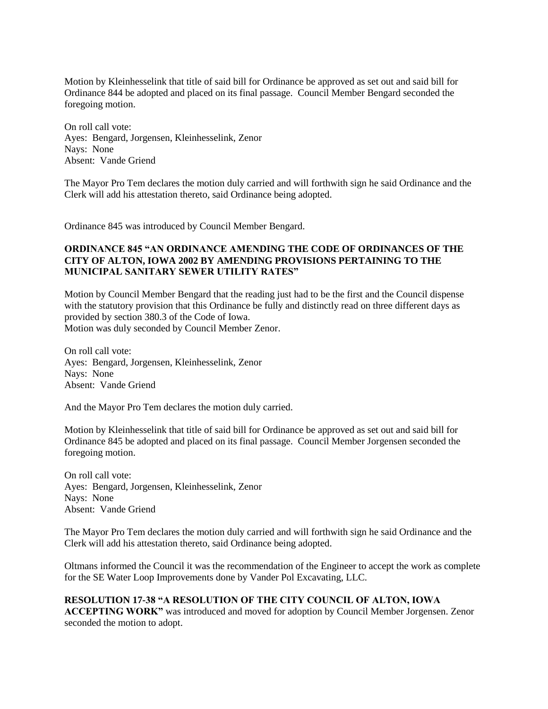Motion by Kleinhesselink that title of said bill for Ordinance be approved as set out and said bill for Ordinance 844 be adopted and placed on its final passage. Council Member Bengard seconded the foregoing motion.

On roll call vote: Ayes: Bengard, Jorgensen, Kleinhesselink, Zenor Nays: None Absent: Vande Griend

The Mayor Pro Tem declares the motion duly carried and will forthwith sign he said Ordinance and the Clerk will add his attestation thereto, said Ordinance being adopted.

Ordinance 845 was introduced by Council Member Bengard.

## **ORDINANCE 845 "AN ORDINANCE AMENDING THE CODE OF ORDINANCES OF THE CITY OF ALTON, IOWA 2002 BY AMENDING PROVISIONS PERTAINING TO THE MUNICIPAL SANITARY SEWER UTILITY RATES"**

Motion by Council Member Bengard that the reading just had to be the first and the Council dispense with the statutory provision that this Ordinance be fully and distinctly read on three different days as provided by section 380.3 of the Code of Iowa. Motion was duly seconded by Council Member Zenor.

On roll call vote: Ayes: Bengard, Jorgensen, Kleinhesselink, Zenor Nays: None Absent: Vande Griend

And the Mayor Pro Tem declares the motion duly carried.

Motion by Kleinhesselink that title of said bill for Ordinance be approved as set out and said bill for Ordinance 845 be adopted and placed on its final passage. Council Member Jorgensen seconded the foregoing motion.

On roll call vote: Ayes: Bengard, Jorgensen, Kleinhesselink, Zenor Nays: None Absent: Vande Griend

The Mayor Pro Tem declares the motion duly carried and will forthwith sign he said Ordinance and the Clerk will add his attestation thereto, said Ordinance being adopted.

Oltmans informed the Council it was the recommendation of the Engineer to accept the work as complete for the SE Water Loop Improvements done by Vander Pol Excavating, LLC.

**RESOLUTION 17-38 "A RESOLUTION OF THE CITY COUNCIL OF ALTON, IOWA ACCEPTING WORK"** was introduced and moved for adoption by Council Member Jorgensen. Zenor seconded the motion to adopt.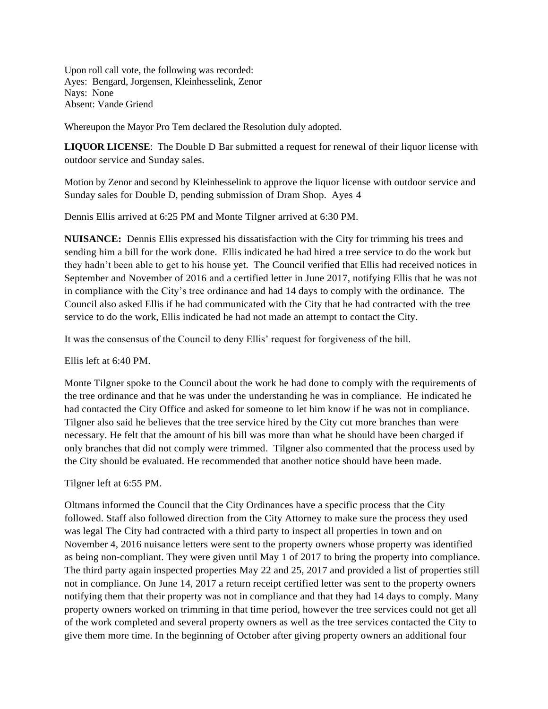Upon roll call vote, the following was recorded: Ayes: Bengard, Jorgensen, Kleinhesselink, Zenor Nays: None Absent: Vande Griend

Whereupon the Mayor Pro Tem declared the Resolution duly adopted.

**LIQUOR LICENSE**: The Double D Bar submitted a request for renewal of their liquor license with outdoor service and Sunday sales.

Motion by Zenor and second by Kleinhesselink to approve the liquor license with outdoor service and Sunday sales for Double D, pending submission of Dram Shop. Ayes 4

Dennis Ellis arrived at 6:25 PM and Monte Tilgner arrived at 6:30 PM.

**NUISANCE:** Dennis Ellis expressed his dissatisfaction with the City for trimming his trees and sending him a bill for the work done. Ellis indicated he had hired a tree service to do the work but they hadn't been able to get to his house yet. The Council verified that Ellis had received notices in September and November of 2016 and a certified letter in June 2017, notifying Ellis that he was not in compliance with the City's tree ordinance and had 14 days to comply with the ordinance. The Council also asked Ellis if he had communicated with the City that he had contracted with the tree service to do the work, Ellis indicated he had not made an attempt to contact the City.

It was the consensus of the Council to deny Ellis' request for forgiveness of the bill.

Ellis left at 6:40 PM.

Monte Tilgner spoke to the Council about the work he had done to comply with the requirements of the tree ordinance and that he was under the understanding he was in compliance. He indicated he had contacted the City Office and asked for someone to let him know if he was not in compliance. Tilgner also said he believes that the tree service hired by the City cut more branches than were necessary. He felt that the amount of his bill was more than what he should have been charged if only branches that did not comply were trimmed. Tilgner also commented that the process used by the City should be evaluated. He recommended that another notice should have been made.

Tilgner left at 6:55 PM.

Oltmans informed the Council that the City Ordinances have a specific process that the City followed. Staff also followed direction from the City Attorney to make sure the process they used was legal The City had contracted with a third party to inspect all properties in town and on November 4, 2016 nuisance letters were sent to the property owners whose property was identified as being non-compliant. They were given until May 1 of 2017 to bring the property into compliance. The third party again inspected properties May 22 and 25, 2017 and provided a list of properties still not in compliance. On June 14, 2017 a return receipt certified letter was sent to the property owners notifying them that their property was not in compliance and that they had 14 days to comply. Many property owners worked on trimming in that time period, however the tree services could not get all of the work completed and several property owners as well as the tree services contacted the City to give them more time. In the beginning of October after giving property owners an additional four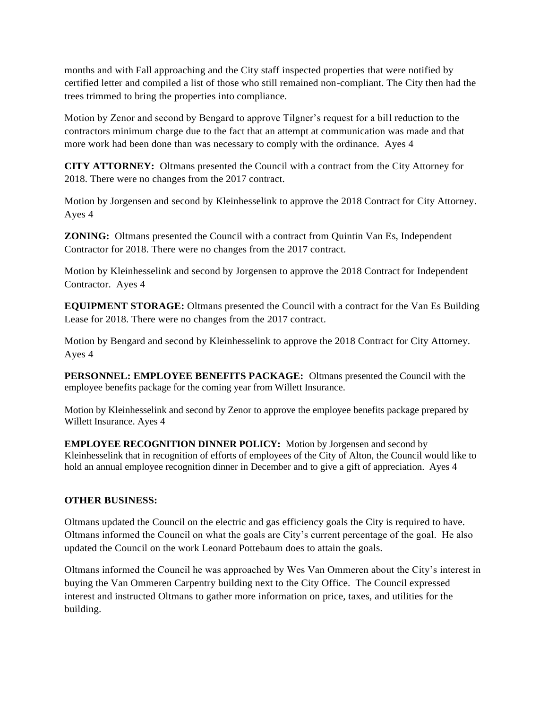months and with Fall approaching and the City staff inspected properties that were notified by certified letter and compiled a list of those who still remained non-compliant. The City then had the trees trimmed to bring the properties into compliance.

Motion by Zenor and second by Bengard to approve Tilgner's request for a bill reduction to the contractors minimum charge due to the fact that an attempt at communication was made and that more work had been done than was necessary to comply with the ordinance. Ayes 4

**CITY ATTORNEY:** Oltmans presented the Council with a contract from the City Attorney for 2018. There were no changes from the 2017 contract.

Motion by Jorgensen and second by Kleinhesselink to approve the 2018 Contract for City Attorney. Ayes 4

**ZONING:** Oltmans presented the Council with a contract from Quintin Van Es, Independent Contractor for 2018. There were no changes from the 2017 contract.

Motion by Kleinhesselink and second by Jorgensen to approve the 2018 Contract for Independent Contractor. Ayes 4

**EQUIPMENT STORAGE:** Oltmans presented the Council with a contract for the Van Es Building Lease for 2018. There were no changes from the 2017 contract.

Motion by Bengard and second by Kleinhesselink to approve the 2018 Contract for City Attorney. Ayes 4

**PERSONNEL: EMPLOYEE BENEFITS PACKAGE:** Oltmans presented the Council with the employee benefits package for the coming year from Willett Insurance.

Motion by Kleinhesselink and second by Zenor to approve the employee benefits package prepared by Willett Insurance. Ayes 4

**EMPLOYEE RECOGNITION DINNER POLICY:** Motion by Jorgensen and second by Kleinhesselink that in recognition of efforts of employees of the City of Alton, the Council would like to hold an annual employee recognition dinner in December and to give a gift of appreciation. Ayes 4

# **OTHER BUSINESS:**

Oltmans updated the Council on the electric and gas efficiency goals the City is required to have. Oltmans informed the Council on what the goals are City's current percentage of the goal. He also updated the Council on the work Leonard Pottebaum does to attain the goals.

Oltmans informed the Council he was approached by Wes Van Ommeren about the City's interest in buying the Van Ommeren Carpentry building next to the City Office. The Council expressed interest and instructed Oltmans to gather more information on price, taxes, and utilities for the building.